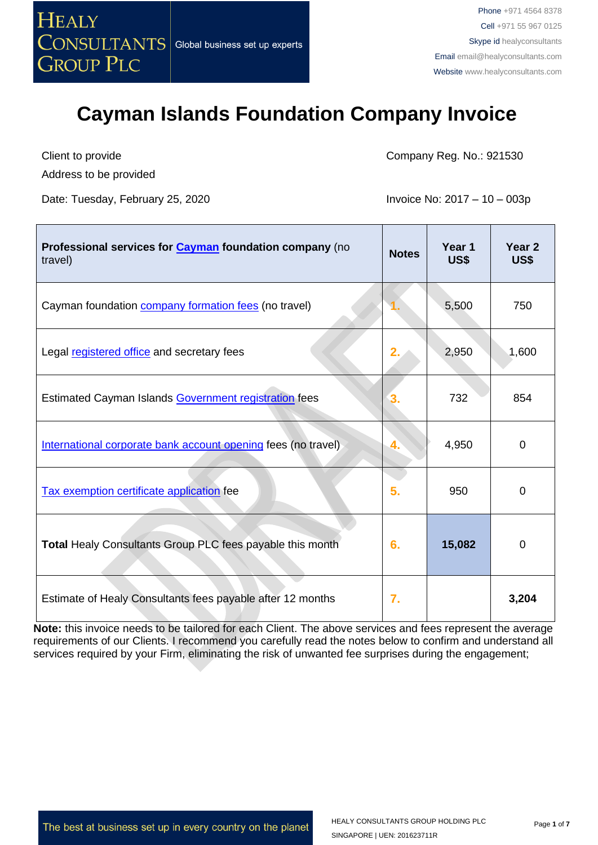

Client to provide Address to be provided

Date: Tuesday, February 25, 2020 **Invoice No: 2017 – 10 – 003p** 

Company Reg. No.: 921530

| Professional services for <b>Cayman</b> foundation company (no<br>travel) | <b>Notes</b> | Year 1<br><b>US\$</b> | Year <sub>2</sub><br>US\$ |
|---------------------------------------------------------------------------|--------------|-----------------------|---------------------------|
| Cayman foundation <b>company formation fees</b> (no travel)               |              | 5,500                 | 750                       |
| Legal registered office and secretary fees                                | 2.           | 2,950                 | 1,600                     |
| Estimated Cayman Islands Government registration fees                     | 3.           | 732                   | 854                       |
| International corporate bank account opening fees (no travel)             | 4.           | 4,950                 | 0                         |
| Tax exemption certificate application fee                                 | 5.           | 950                   | $\Omega$                  |
| Total Healy Consultants Group PLC fees payable this month                 | 6.           | 15,082                | 0                         |
| Estimate of Healy Consultants fees payable after 12 months                | 7.           |                       | 3,204                     |

**Note:** this invoice needs to be tailored for each Client. The above services and fees represent the average requirements of our Clients. I recommend you carefully read the notes below to confirm and understand all services required by your Firm, eliminating the risk of unwanted fee surprises during the engagement;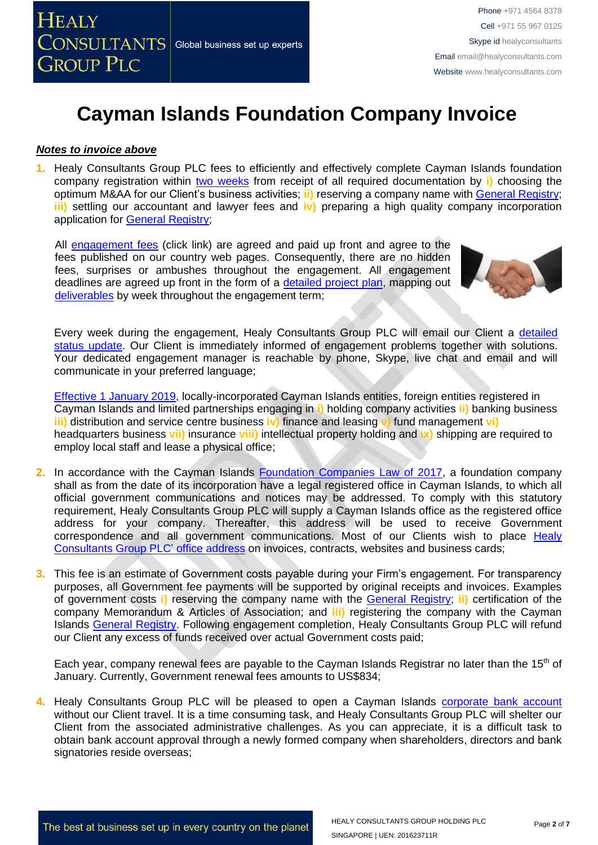#### *Notes to invoice above*

**1.** Healy Consultants Group PLC fees to efficiently and effectively complete Cayman Islands foundation company registration within two [weeks](http://www.healyconsultants.com/cayman-islands-company-registration/fees-timelines/#timelines) from receipt of all required documentation by **i)** choosing the optimum M&AA for our Client's business activities; **ii)** reserving a company name with [General Registry;](http://www.ciregistry.gov.ky/portal/page/portal/reghome) **iii)** settling our accountant and lawyer fees and **iv)** preparing a high quality company incorporation application for [General Registry;](http://www.ciregistry.gov.ky/portal/page/portal/reghome)

All [engagement fees](http://www.healyconsultants.com/company-registration-fees/) (click link) are agreed and paid up front and agree to the fees published on our country web pages. Consequently, there are no hidden fees, surprises or ambushes throughout the engagement. All engagement deadlines are agreed up front in the form of a [detailed project plan,](http://www.healyconsultants.com/index-important-links/example-project-plan/) mapping out [deliverables](http://www.healyconsultants.com/deliverables-to-our-clients/) by week throughout the engagement term;



Every week during the engagement, Healy Consultants Group PLC will email our Client a [detailed](http://www.healyconsultants.com/index-important-links/weekly-engagement-status-email/)  [status update.](http://www.healyconsultants.com/index-important-links/weekly-engagement-status-email/) Our Client is immediately informed of engagement problems together with solutions. Your dedicated engagement manager is reachable by phone, Skype, live chat and email and will communicate in your preferred language;

[Effective 1 January 2019,](http://www.gov.ky/portal/pls/portal/docs/1/12738510.PDF) locally-incorporated Cayman Islands entities, foreign entities registered in Cayman Islands and limited partnerships engaging in **i)** holding company activities **ii)** banking business **iii)** distribution and service centre business **iv)** finance and leasing **v)** fund management **vi)** headquarters business **vii)** insurance **viii)** intellectual property holding and **ix)** shipping are required to employ local staff and lease a physical office;

- **2.** In accordance with the Cayman Islands [Foundation Companies Law of 2017,](http://www.gov.ky/portal/pls/portal/docs/1/12408397.PDF) a foundation company shall as from the date of its incorporation have a legal registered office in Cayman Islands, to which all official government communications and notices may be addressed. To comply with this statutory requirement, Healy Consultants Group PLC will supply a Cayman Islands office as the registered office address for your company. Thereafter, this address will be used to receive Government correspondence and all government communications. Most of our Clients wish to place Healy [Consultants Group PLC'](http://www.healyconsultants.com/corporate-outsourcing-services/company-secretary-and-legal-registered-office/) office address on invoices, contracts, websites and business cards;
- **3.** This fee is an estimate of Government costs payable during your Firm's engagement. For transparency purposes, all Government fee payments will be supported by original receipts and invoices. Examples of government costs **i)** reserving the company name with the [General Registry;](http://www.ciregistry.gov.ky/portal/page/portal/reghome) **ii)** certification of the company Memorandum & Articles of Association; and **iii)** registering the company with the Cayman Islands [General Registry.](http://www.ciregistry.gov.ky/portal/page/portal/reghome) Following engagement completion, Healy Consultants Group PLC will refund our Client any excess of funds received over actual Government costs paid;

Each year, company renewal fees are payable to the Cayman Islands Registrar no later than the 15<sup>th</sup> of January. Currently, Government renewal fees amounts to US\$834;

4. Healy Consultants Group PLC will be pleased to open a Cayman Islands [corporate bank account](http://www.healyconsultants.com/country-comparisons/corporate-banking-options-without-travel/) without our Client travel. It is a time consuming task, and Healy Consultants Group PLC will shelter our Client from the associated administrative challenges. As you can appreciate, it is a difficult task to obtain bank account approval through a newly formed company when shareholders, directors and bank signatories reside overseas: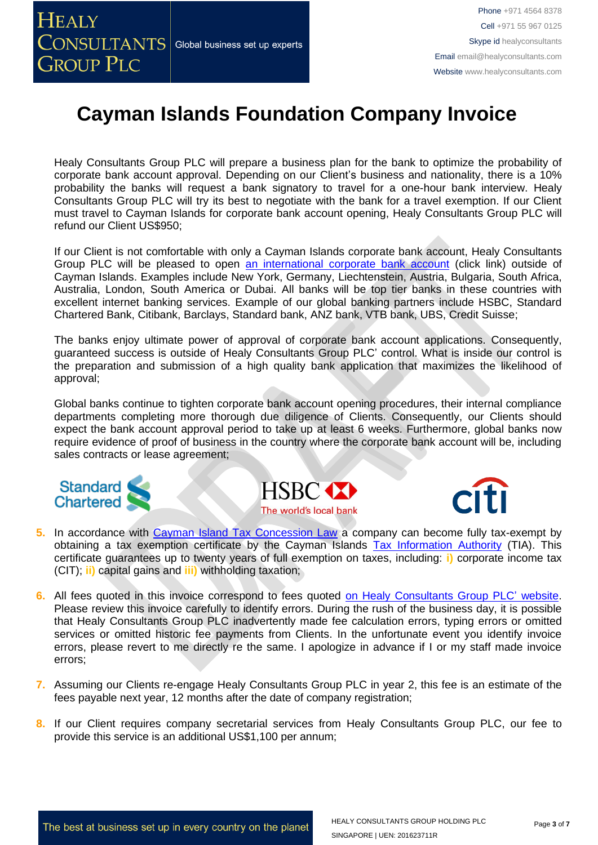Healy Consultants Group PLC will prepare a business plan for the bank to optimize the probability of corporate bank account approval. Depending on our Client's business and nationality, there is a 10% probability the banks will request a bank signatory to travel for a one-hour bank interview. Healy Consultants Group PLC will try its best to negotiate with the bank for a travel exemption. If our Client must travel to Cayman Islands for corporate bank account opening, Healy Consultants Group PLC will refund our Client US\$950;

If our Client is not comfortable with only a Cayman Islands corporate bank account, Healy Consultants Group PLC will be pleased to open [an international corporate bank account](http://www.healyconsultants.com/international-banking/) (click link) outside of Cayman Islands. Examples include New York, Germany, Liechtenstein, Austria, Bulgaria, South Africa, Australia, London, South America or Dubai. All banks will be top tier banks in these countries with excellent internet banking services. Example of our global banking partners include HSBC, Standard Chartered Bank, Citibank, Barclays, Standard bank, ANZ bank, VTB bank, UBS, Credit Suisse;

The banks enjoy ultimate power of approval of corporate bank account applications. Consequently, guaranteed success is outside of Healy Consultants Group PLC' control. What is inside our control is the preparation and submission of a high quality bank application that maximizes the likelihood of approval;

Global banks continue to tighten corporate bank account opening procedures, their internal compliance departments completing more thorough due diligence of Clients. Consequently, our Clients should expect the bank account approval period to take up at least 6 weeks. Furthermore, global banks now require evidence of proof of business in the country where the corporate bank account will be, including sales contracts or lease agreement;







- **5.** In accordance with [Cayman Island Tax Concession Law](http://www.gov.ky/portal/pls/portal/docs/1/11524841.PDF) a company can become fully tax-exempt by obtaining a tax exemption certificate by the Cayman Islands [Tax Information Authority](http://www.tia.gov.ky/) (TIA). This certificate guarantees up to twenty years of full exemption on taxes, including: **i)** corporate income tax (CIT); **ii)** capital gains and **iii)** withholding taxation;
- **6.** All fees quoted in this invoice correspond to fees quoted [on Healy Consultants Group PLC'](http://www.healyconsultants.com/company-registration-fees/) website. Please review this invoice carefully to identify errors. During the rush of the business day, it is possible that Healy Consultants Group PLC inadvertently made fee calculation errors, typing errors or omitted services or omitted historic fee payments from Clients. In the unfortunate event you identify invoice errors, please revert to me directly re the same. I apologize in advance if I or my staff made invoice errors;
- **7.** Assuming our Clients re-engage Healy Consultants Group PLC in year 2, this fee is an estimate of the fees payable next year, 12 months after the date of company registration;
- **8.** If our Client requires company secretarial services from Healy Consultants Group PLC, our fee to provide this service is an additional US\$1,100 per annum;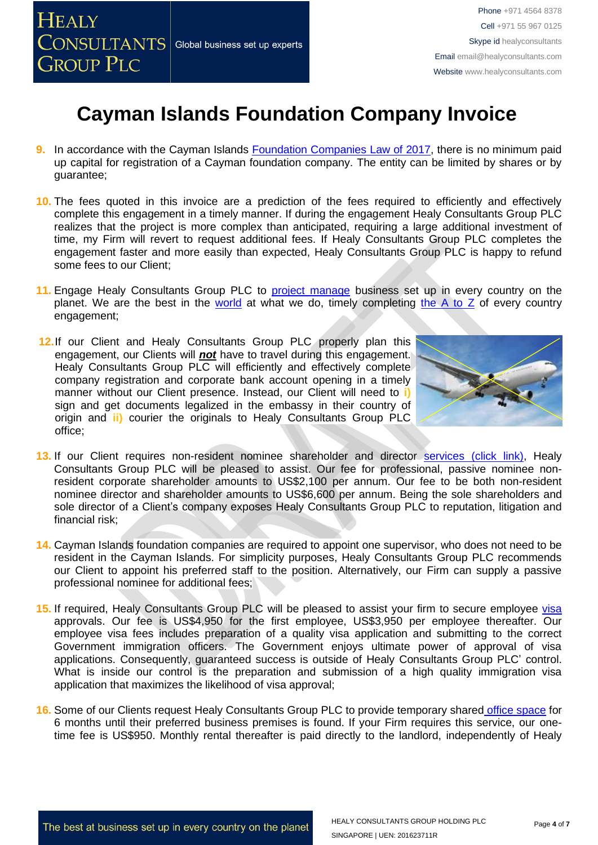- **9.** In accordance with the Cayman Islands [Foundation Companies Law of 2017,](http://www.gov.ky/portal/pls/portal/docs/1/12408397.PDF) there is no minimum paid up capital for registration of a Cayman foundation company. The entity can be limited by shares or by guarantee;
- **10.** The fees quoted in this invoice are a prediction of the fees required to efficiently and effectively complete this engagement in a timely manner. If during the engagement Healy Consultants Group PLC realizes that the project is more complex than anticipated, requiring a large additional investment of time, my Firm will revert to request additional fees. If Healy Consultants Group PLC completes the engagement faster and more easily than expected, Healy Consultants Group PLC is happy to refund some fees to our Client;
- **11.** Engage Healy Consultants Group PLC to [project manage](http://www.healyconsultants.com/project-manage-engagements/) business set up in every country on the planet. We are the best in the [world](http://www.healyconsultants.com/best-in-the-world/) at what we do, timely completing the  $A$  to  $Z$  of every country engagement;
- 12.If our Client and Healy Consultants Group PLC properly plan this engagement, our Clients will **not** have to travel during this engagement. Healy Consultants Group PLC will efficiently and effectively complete company registration and corporate bank account opening in a timely manner without our Client presence. Instead, our Client will need to **i)** sign and get documents legalized in the embassy in their country of origin and **ii)** courier the originals to Healy Consultants Group PLC office;



- 13. If our Client requires non-resident nominee shareholder and director services [\(click link\),](http://www.healyconsultants.com/corporate-outsourcing-services/nominee-shareholders-directors/) Healy Consultants Group PLC will be pleased to assist. Our fee for professional, passive nominee nonresident corporate shareholder amounts to US\$2,100 per annum. Our fee to be both non-resident nominee director and shareholder amounts to US\$6,600 per annum. Being the sole shareholders and sole director of a Client's company exposes Healy Consultants Group PLC to reputation, litigation and financial risk;
- **14.** Cayman Islands foundation companies are required to appoint one supervisor, who does not need to be resident in the Cayman Islands. For simplicity purposes, Healy Consultants Group PLC recommends our Client to appoint his preferred staff to the position. Alternatively, our Firm can supply a passive professional nominee for additional fees;
- 15. If required, Healy Consultants Group PLC will be pleased to assist your firm to secure employee [visa](http://www.healyconsultants.com/corporate-advisory-services/migration/) approvals. Our fee is US\$4,950 for the first employee, US\$3,950 per employee thereafter. Our employee visa fees includes preparation of a quality visa application and submitting to the correct Government immigration officers. The Government enjoys ultimate power of approval of visa applications. Consequently, guaranteed success is outside of Healy Consultants Group PLC' control. What is inside our control is the preparation and submission of a high quality immigration visa application that maximizes the likelihood of visa approval;
- **16.** Some of our Clients request Healy Consultants Group PLC to provide temporary shared [office space](http://www.healyconsultants.com/virtual-office/) for 6 months until their preferred business premises is found. If your Firm requires this service, our onetime fee is US\$950. Monthly rental thereafter is paid directly to the landlord, independently of Healy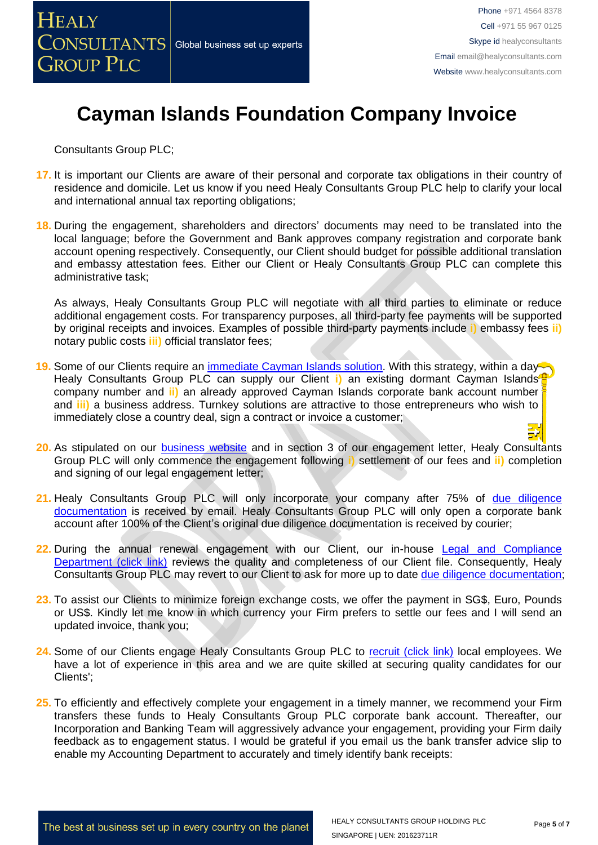Consultants Group PLC;

- **17.** It is important our Clients are aware of their personal and corporate tax obligations in their country of residence and domicile. Let us know if you need Healy Consultants Group PLC help to clarify your local and international annual tax reporting obligations;
- **18.** During the engagement, shareholders and directors' documents may need to be translated into the local language; before the Government and Bank approves company registration and corporate bank account opening respectively. Consequently, our Client should budget for possible additional translation and embassy attestation fees. Either our Client or Healy Consultants Group PLC can complete this administrative task;

As always, Healy Consultants Group PLC will negotiate with all third parties to eliminate or reduce additional engagement costs. For transparency purposes, all third-party fee payments will be supported by original receipts and invoices. Examples of possible third-party payments include **i)** embassy fees **ii)** notary public costs **iii)** official translator fees;

- 19. Some of our Clients require an [immediate Cayman Islands](http://www.healyconsultants.com/turnkey-solutions/) solution. With this strategy, within a day<sup>-</sup> Healy Consultants Group PLC can supply our Client **i)** an existing dormant Cayman Islands company number and **ii)** an already approved Cayman Islands corporate bank account number and **iii)** a business address. Turnkey solutions are attractive to those entrepreneurs who wish to immediately close a country deal, sign a contract or invoice a customer;
- **20.** As stipulated on our [business website](http://www.healyconsultants.com/) and in section 3 of our engagement letter, Healy Consultants Group PLC will only commence the engagement following **i)** settlement of our fees and **ii)** completion and signing of our legal engagement letter;
- 21. Healy Consultants Group PLC will only incorporate your company after 75% of due diligence [documentation](http://www.healyconsultants.com/due-diligence/) is received by email. Healy Consultants Group PLC will only open a corporate bank account after 100% of the Client's original due diligence documentation is received by courier;
- **22.** During the annual renewal engagement with our Client, our in-house [Legal and Compliance](http://www.healyconsultants.com/about-us/key-personnel/cai-xin-profile/)  [Department \(click link\)](http://www.healyconsultants.com/about-us/key-personnel/cai-xin-profile/) reviews the quality and completeness of our Client file. Consequently, Healy Consultants Group PLC may revert to our Client to ask for more up to date [due diligence documentation;](http://www.healyconsultants.com/due-diligence/)
- **23.** To assist our Clients to minimize foreign exchange costs, we offer the payment in SG\$, Euro, Pounds or US\$. Kindly let me know in which currency your Firm prefers to settle our fees and I will send an updated invoice, thank you;
- 24. Some of our Clients engage Healy Consultants Group PLC to [recruit \(click link\)](http://www.healyconsultants.com/corporate-outsourcing-services/how-we-help-our-clients-recruit-quality-employees/) local employees. We have a lot of experience in this area and we are quite skilled at securing quality candidates for our Clients';
- **25.** To efficiently and effectively complete your engagement in a timely manner, we recommend your Firm transfers these funds to Healy Consultants Group PLC corporate bank account. Thereafter, our Incorporation and Banking Team will aggressively advance your engagement, providing your Firm daily feedback as to engagement status. I would be grateful if you email us the bank transfer advice slip to enable my Accounting Department to accurately and timely identify bank receipts: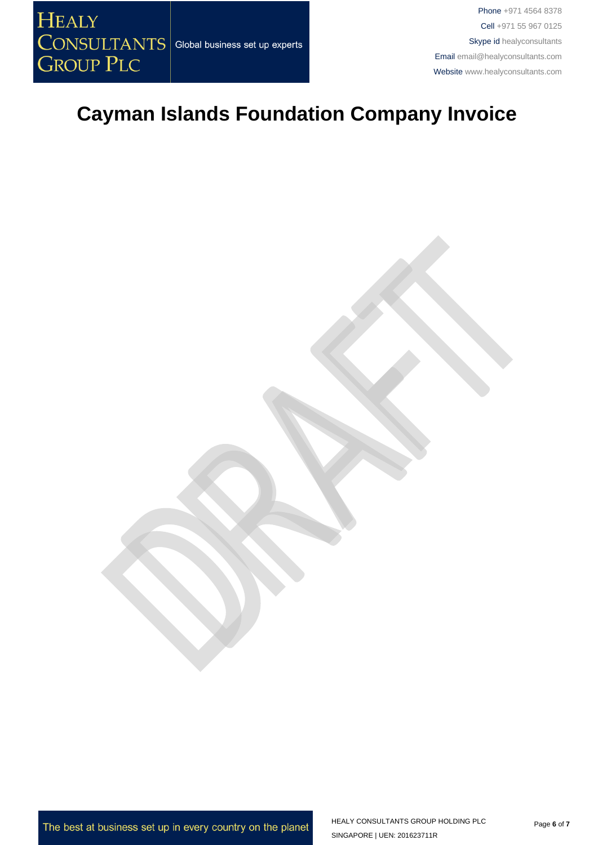Phone +971 4564 8378 Cell +971 55 967 0125 Skype id healyconsultants Email [email@healyconsultants.com](mailto:EMAIL@HEALYCONSULTANTS.COM) Website [www.healyconsultants.com](http://www.healyconsultants.com/)

### **Cayman Islands Foundation Company Invoice**

The best at business set up in every country on the planet

HEALY CONSULTANTS GROUP HOLDING PLC SINGAPORE | UEN: 201623711R